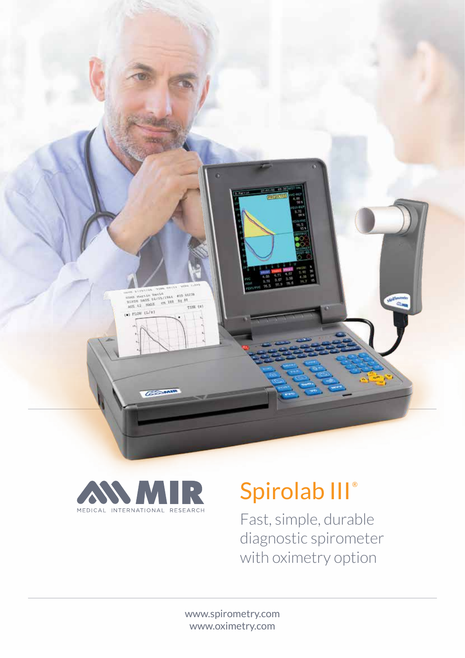



# Spirolab III<sup>®</sup>

Fast, simple, durable diagnostic spirometer with oximetry option

www.spirometry.com www.oximetry.com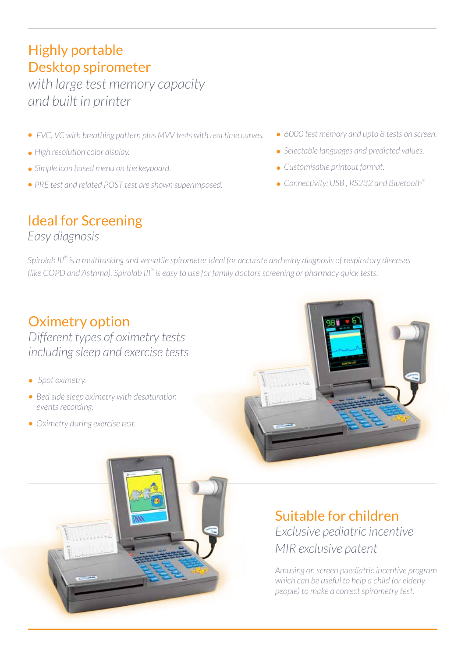# Highly portable Desktop spirometer

*with large test memory capacity and built in printer*

- *FVC, VC with breathing pattern plus MVV tests with real time curves.*
- *High resolution color display.*
- *Simple icon based menu on the keyboard.*
- *PRE test and related POST test are shown superimposed.*
- *6000 test memory and upto 8 tests on screen.*
- *Selectable languages and predicted values.*
- *Customisable printout format.*
- *Connectivity: USB , RS232 and Bluetooth®*

# Ideal for Screening

*Easy diagnosis*

*Spirolab III® is a multitasking and versatile spirometer ideal for accurate and early diagnosis of respiratory diseases (like COPD and Asthma). Spirolab III® is easy to use for family doctors screening or pharmacy quick tests.*

# Oximetry option

*Different types of oximetry tests including sleep and exercise tests*

- *Spot oximetry.*
- *Bed side sleep oximetry with desaturation events recording.*
- *Oximetry during exercise test.*





#### Suitable for children *Exclusive pediatric incentive MIR exclusive patent*

*Amusing on screen paediatric incentive program which can be useful to help a child (or elderly people) to make a correct spirometry test.*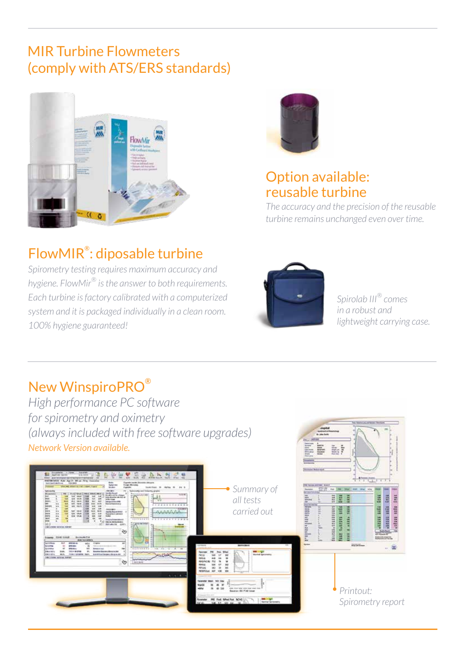# MIR Turbine Flowmeters (comply with ATS/ERS standards)





#### Option available: reusable turbine

*The accuracy and the precision of the reusable turbine remains unchanged even over time.*

# FlowMIR® : diposable turbine

*Spirometry testing requires maximum accuracy and hygiene. FlowMir® is the answer to both requirements. Each turbine is factory calibrated with a computerized system and it is packaged individually in a clean room. 100% hygiene guaranteed!*



*Spirolab III® comes in a robust and lightweight carrying case.*

# New WinspiroPRO®

*High performance PC software for spirometry and oximetry (always included with free software upgrades) Network Version available.*